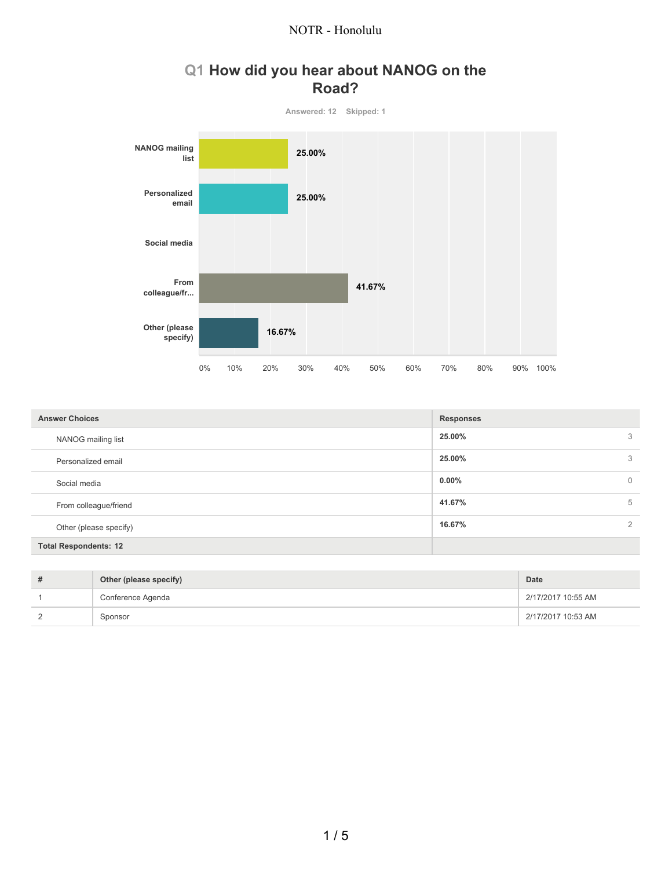

# **Q1 How did you hear about NANOG on the Road?**

| <b>Answer Choices</b>        | <b>Responses</b>         |  |  |
|------------------------------|--------------------------|--|--|
| NANOG mailing list           | 25.00%<br>3              |  |  |
| Personalized email           | 25.00%<br>3              |  |  |
| Social media                 | $0.00\%$<br>$\mathbf 0$  |  |  |
| From colleague/friend        | 41.67%<br>5              |  |  |
| Other (please specify)       | 16.67%<br>$\mathfrak{D}$ |  |  |
| <b>Total Respondents: 12</b> |                          |  |  |

| Other (please specify) | Date               |
|------------------------|--------------------|
| Conference Agenda      | 2/17/2017 10:55 AM |
| Sponsor                | 2/17/2017 10:53 AM |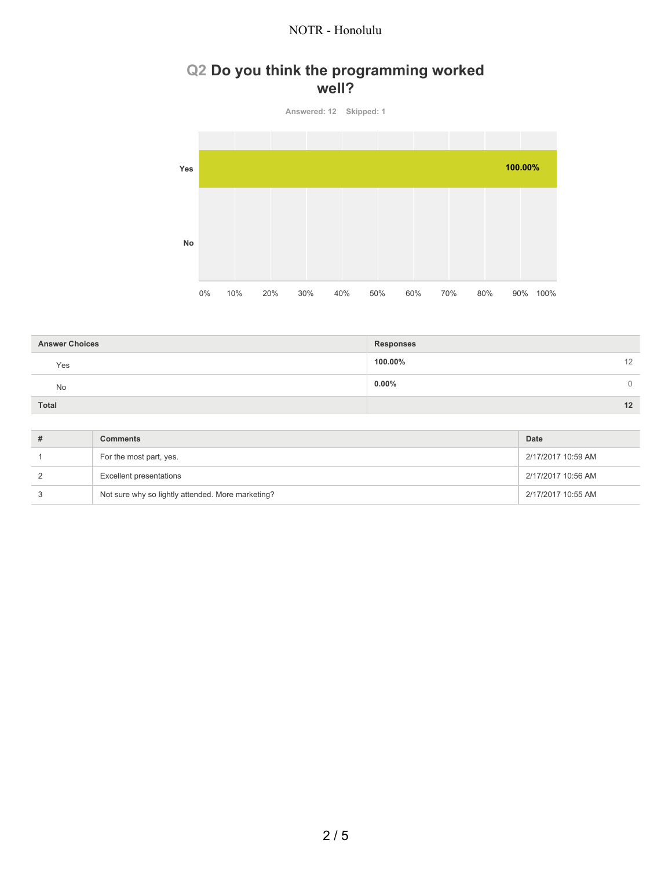## **Q2 Do you think the programming worked well?**



| <b>Answer Choices</b> | <b>Responses</b> |    |
|-----------------------|------------------|----|
| Yes                   | 100.00%          | 12 |
| No                    | $0.00\%$         | 0  |
| Total                 |                  | 12 |

| <b>Comments</b>                                   | Date               |
|---------------------------------------------------|--------------------|
| For the most part, yes.                           | 2/17/2017 10:59 AM |
| <b>Excellent presentations</b>                    | 2/17/2017 10:56 AM |
| Not sure why so lightly attended. More marketing? | 2/17/2017 10:55 AM |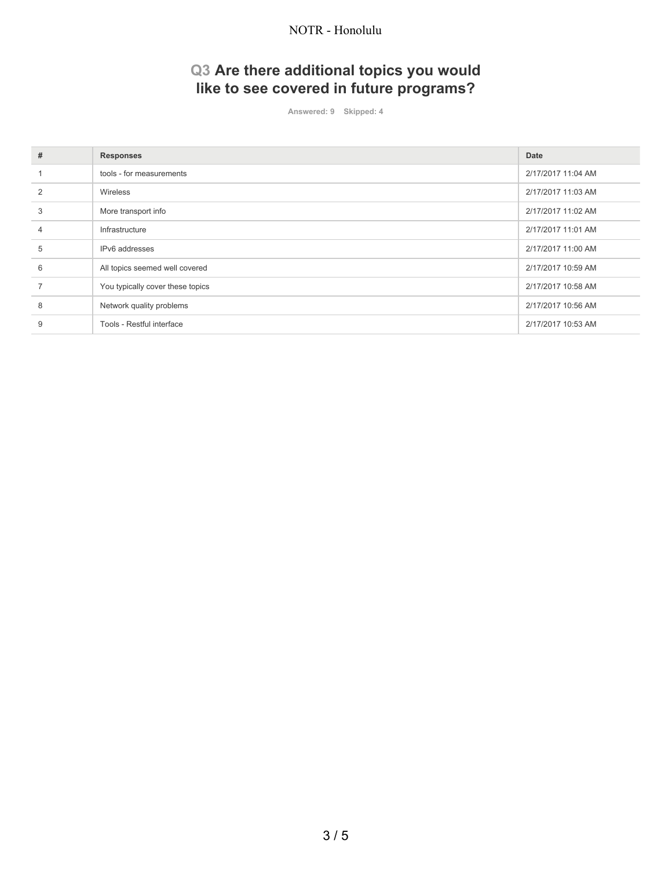# **Q3 Are there additional topics you would like to see covered in future programs?**

**Answered: 9 Skipped: 4**

| # | <b>Responses</b>                 | Date               |
|---|----------------------------------|--------------------|
|   | tools - for measurements         | 2/17/2017 11:04 AM |
|   | Wireless                         | 2/17/2017 11:03 AM |
| 3 | More transport info              | 2/17/2017 11:02 AM |
|   | Infrastructure                   | 2/17/2017 11:01 AM |
| 5 | IPv6 addresses                   | 2/17/2017 11:00 AM |
| 6 | All topics seemed well covered   | 2/17/2017 10:59 AM |
|   | You typically cover these topics | 2/17/2017 10:58 AM |
| 8 | Network quality problems         | 2/17/2017 10:56 AM |
| 9 | Tools - Restful interface        | 2/17/2017 10:53 AM |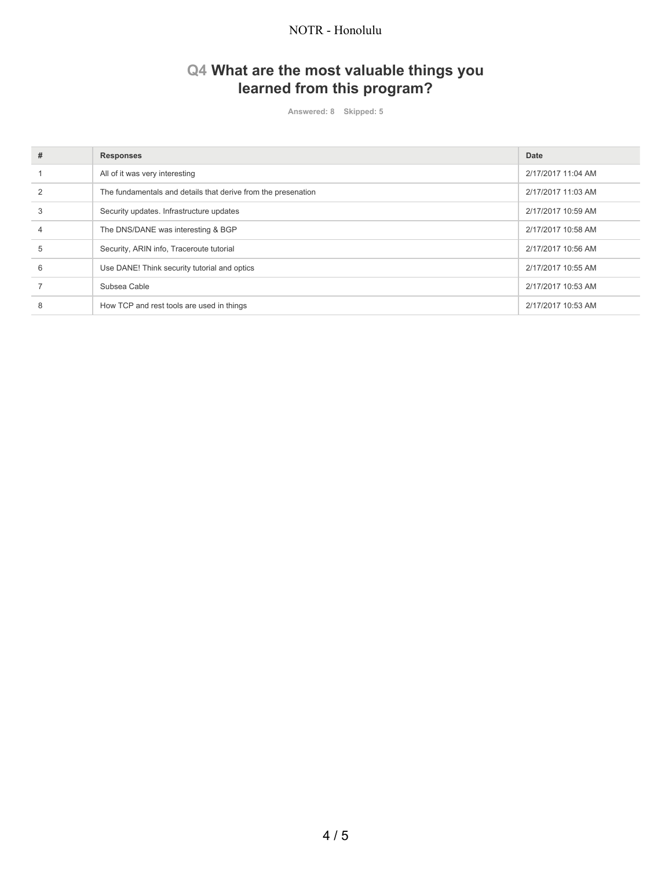## **Q4 What are the most valuable things you learned from this program?**

**Answered: 8 Skipped: 5**

| # | <b>Responses</b>                                              | Date               |
|---|---------------------------------------------------------------|--------------------|
|   | All of it was very interesting                                | 2/17/2017 11:04 AM |
|   | The fundamentals and details that derive from the presenation | 2/17/2017 11:03 AM |
| 3 | Security updates. Infrastructure updates                      | 2/17/2017 10:59 AM |
| 4 | The DNS/DANE was interesting & BGP                            | 2/17/2017 10:58 AM |
| 5 | Security, ARIN info, Traceroute tutorial                      | 2/17/2017 10:56 AM |
| 6 | Use DANE! Think security tutorial and optics                  | 2/17/2017 10:55 AM |
|   | Subsea Cable                                                  | 2/17/2017 10:53 AM |
| 8 | How TCP and rest tools are used in things                     | 2/17/2017 10:53 AM |